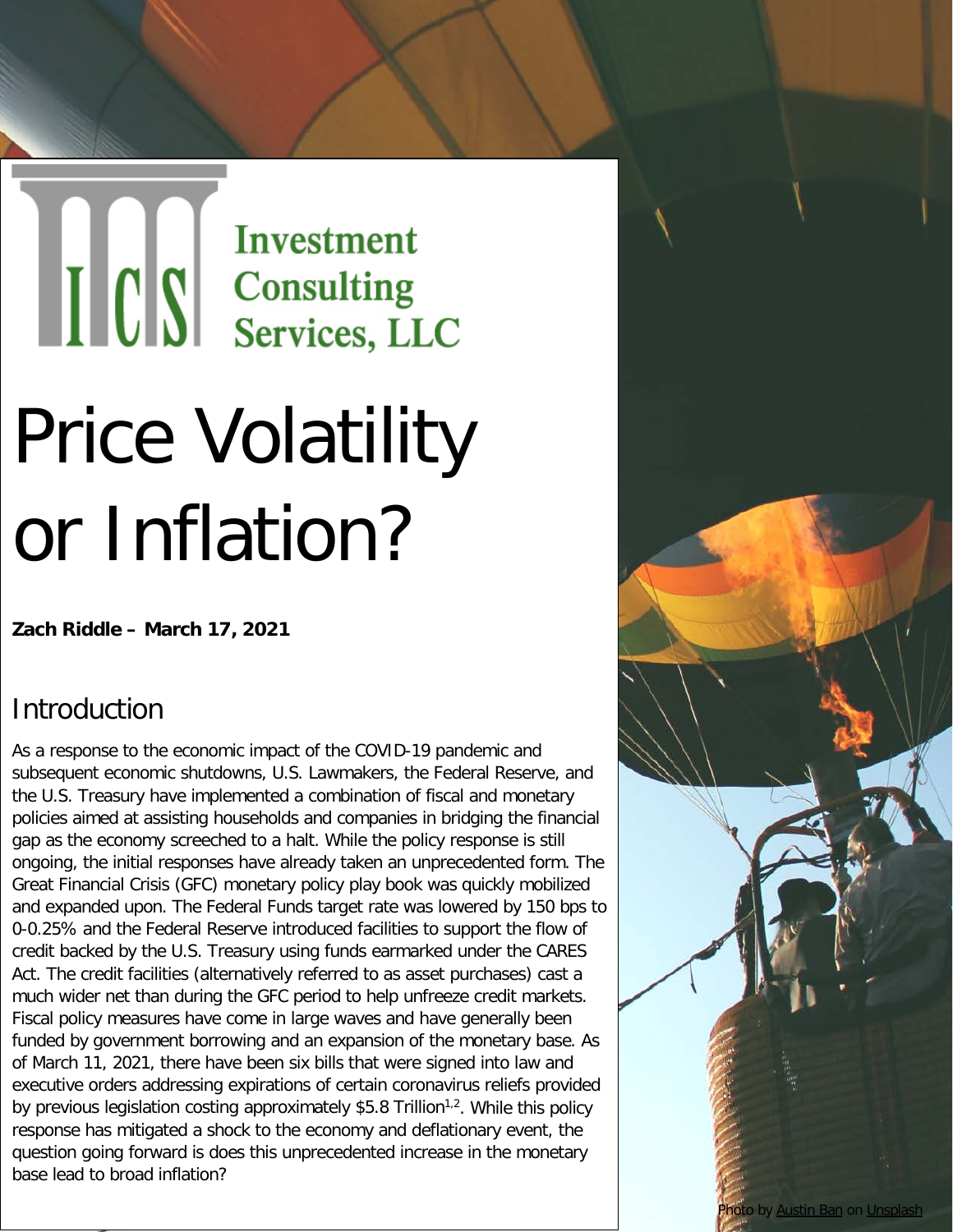# THE SERVICES OF SERVICES, LLC

## Price Volatility or Inflation?

**Zach Riddle – March 17, 2021** 

#### Introduction

As a response to the economic impact of the COVID-19 pandemic and subsequent economic shutdowns, U.S. Lawmakers, the Federal Reserve, and the U.S. Treasury have implemented a combination of fiscal and monetary policies aimed at assisting households and companies in bridging the financial gap as the economy screeched to a halt. While the policy response is still ongoing, the initial responses have already taken an unprecedented form. The Great Financial Crisis (GFC) monetary policy play book was quickly mobilized and expanded upon. The Federal Funds target rate was lowered by 150 bps to 0-0.25% and the Federal Reserve introduced facilities to support the flow of credit backed by the U.S. Treasury using funds earmarked under the CARES Act. The credit facilities (alternatively referred to as asset purchases) cast a much wider net than during the GFC period to help unfreeze credit markets. Fiscal policy measures have come in large waves and have generally been funded by government borrowing and an expansion of the monetary base. As of March 11, 2021, there have been six bills that were signed into law and executive orders addressing expirations of certain coronavirus reliefs provided by previous legislation costing approximately \$5.8 Trillion<sup>1,2</sup>. While this policy response has mitigated a shock to the economy and deflationary event, the question going forward is does this unprecedented increase in the monetary base lead to broad inflation?

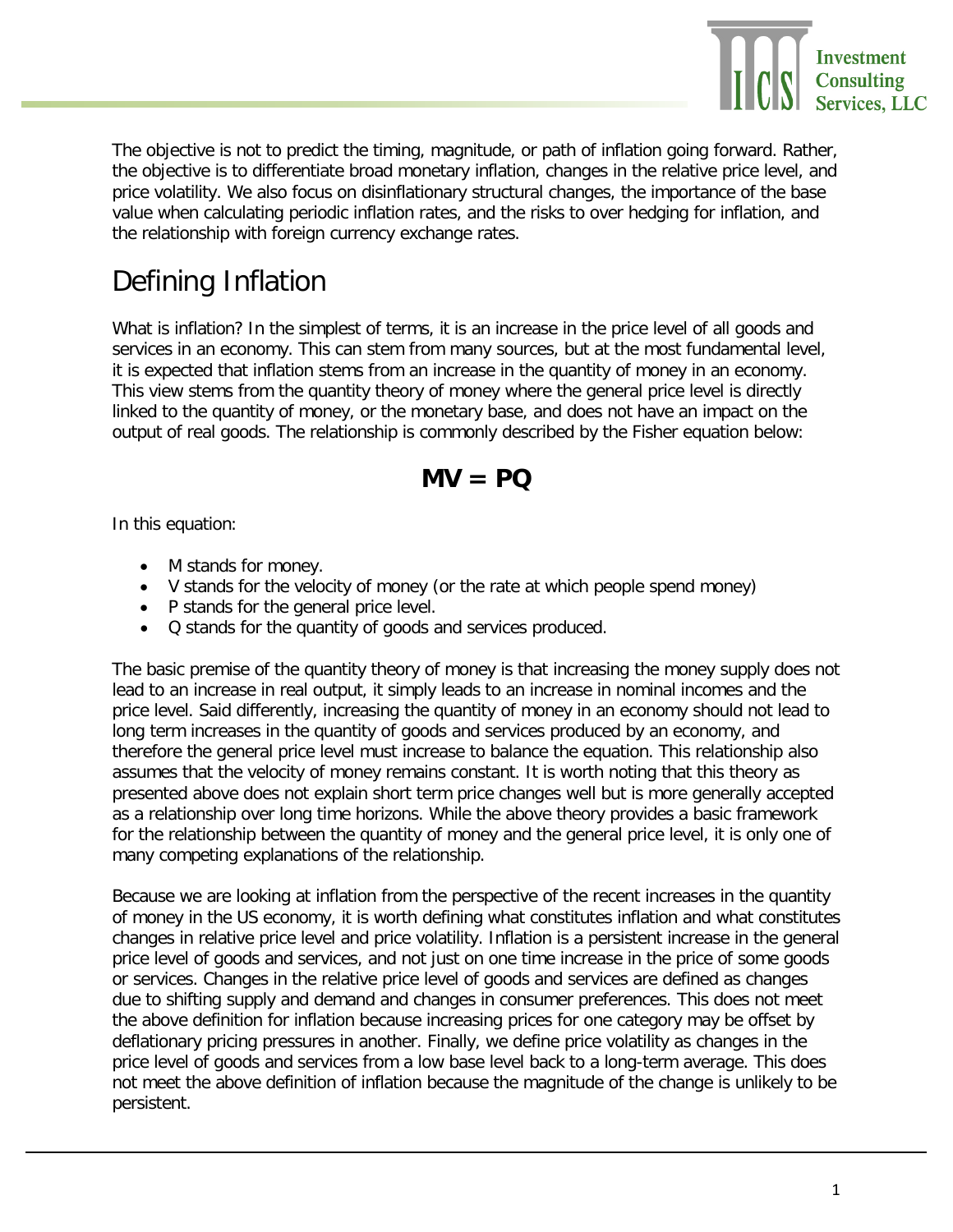

The objective is not to predict the timing, magnitude, or path of inflation going forward. Rather, the objective is to differentiate broad monetary inflation, changes in the relative price level, and price volatility. We also focus on disinflationary structural changes, the importance of the base value when calculating periodic inflation rates, and the risks to over hedging for inflation, and the relationship with foreign currency exchange rates.

#### Defining Inflation

What is inflation? In the simplest of terms, it is an increase in the price level of all goods and services in an economy. This can stem from many sources, but at the most fundamental level, it is expected that inflation stems from an increase in the quantity of money in an economy. This view stems from the quantity theory of money where the general price level is directly linked to the quantity of money, or the monetary base, and does not have an impact on the output of real goods. The relationship is commonly described by the Fisher equation below:

#### **MV = PQ**

In this equation:

- M stands for money.
- V stands for the velocity of money (or the rate at which people spend money)
- P stands for the general price level.
- Q stands for the quantity of goods and services produced.

The basic premise of the quantity theory of money is that increasing the money supply does not lead to an increase in real output, it simply leads to an increase in nominal incomes and the price level. Said differently, increasing the quantity of money in an economy should not lead to long term increases in the quantity of goods and services produced by an economy, and therefore the general price level must increase to balance the equation. This relationship also assumes that the velocity of money remains constant. It is worth noting that this theory as presented above does not explain short term price changes well but is more generally accepted as a relationship over long time horizons. While the above theory provides a basic framework for the relationship between the quantity of money and the general price level, it is only one of many competing explanations of the relationship.

Because we are looking at inflation from the perspective of the recent increases in the quantity of money in the US economy, it is worth defining what constitutes inflation and what constitutes changes in relative price level and price volatility. Inflation is a persistent increase in the general price level of goods and services, and not just on one time increase in the price of some goods or services. Changes in the relative price level of goods and services are defined as changes due to shifting supply and demand and changes in consumer preferences. This does not meet the above definition for inflation because increasing prices for one category may be offset by deflationary pricing pressures in another. Finally, we define price volatility as changes in the price level of goods and services from a low base level back to a long-term average. This does not meet the above definition of inflation because the magnitude of the change is unlikely to be persistent.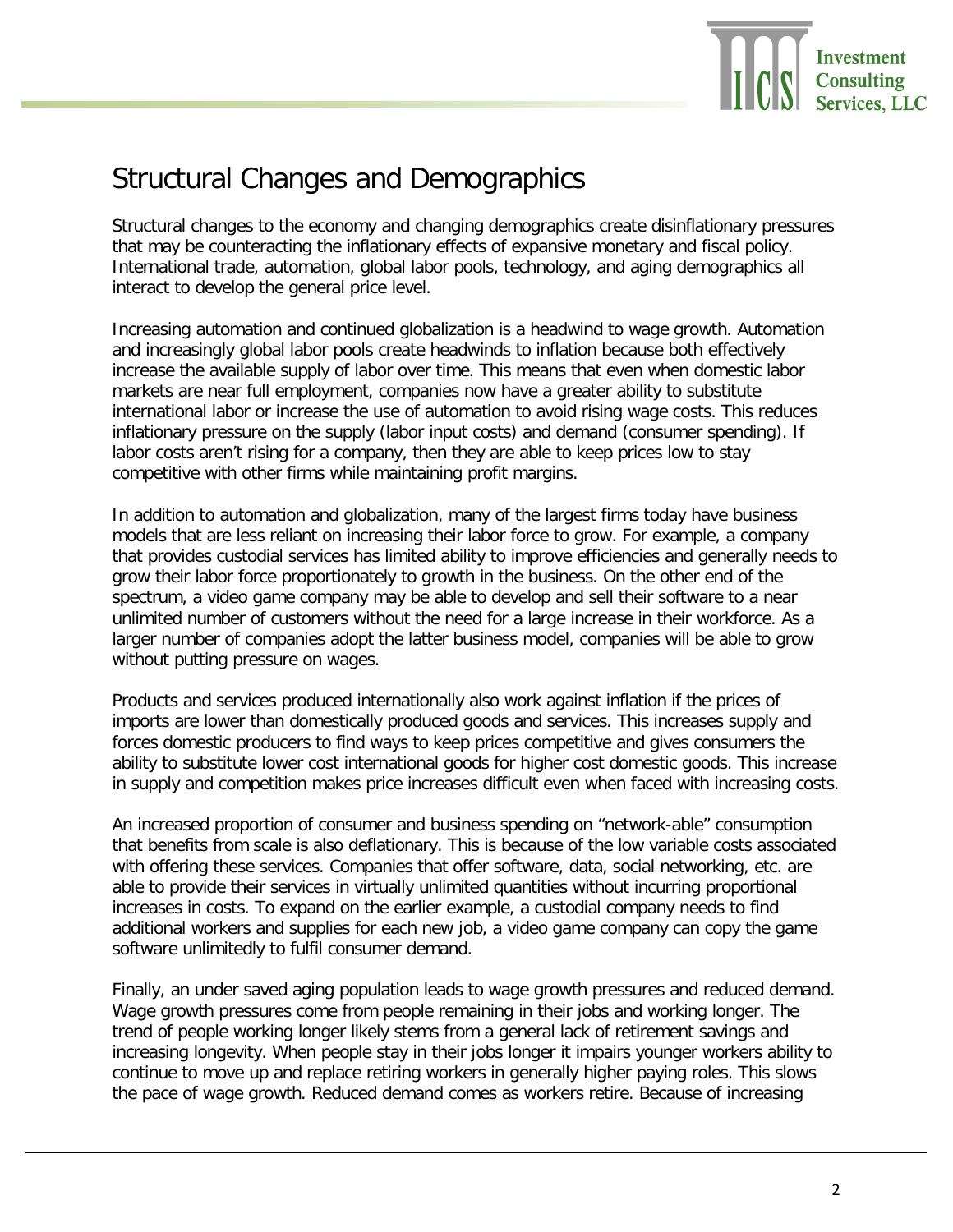

#### Structural Changes and Demographics

Structural changes to the economy and changing demographics create disinflationary pressures that may be counteracting the inflationary effects of expansive monetary and fiscal policy. International trade, automation, global labor pools, technology, and aging demographics all interact to develop the general price level.

Increasing automation and continued globalization is a headwind to wage growth. Automation and increasingly global labor pools create headwinds to inflation because both effectively increase the available supply of labor over time. This means that even when domestic labor markets are near full employment, companies now have a greater ability to substitute international labor or increase the use of automation to avoid rising wage costs. This reduces inflationary pressure on the supply (labor input costs) and demand (consumer spending). If labor costs aren't rising for a company, then they are able to keep prices low to stay competitive with other firms while maintaining profit margins.

In addition to automation and globalization, many of the largest firms today have business models that are less reliant on increasing their labor force to grow. For example, a company that provides custodial services has limited ability to improve efficiencies and generally needs to grow their labor force proportionately to growth in the business. On the other end of the spectrum, a video game company may be able to develop and sell their software to a near unlimited number of customers without the need for a large increase in their workforce. As a larger number of companies adopt the latter business model, companies will be able to grow without putting pressure on wages.

Products and services produced internationally also work against inflation if the prices of imports are lower than domestically produced goods and services. This increases supply and forces domestic producers to find ways to keep prices competitive and gives consumers the ability to substitute lower cost international goods for higher cost domestic goods. This increase in supply and competition makes price increases difficult even when faced with increasing costs.

An increased proportion of consumer and business spending on "network-able" consumption that benefits from scale is also deflationary. This is because of the low variable costs associated with offering these services. Companies that offer software, data, social networking, etc. are able to provide their services in virtually unlimited quantities without incurring proportional increases in costs. To expand on the earlier example, a custodial company needs to find additional workers and supplies for each new job, a video game company can copy the game software unlimitedly to fulfil consumer demand.

Finally, an under saved aging population leads to wage growth pressures and reduced demand. Wage growth pressures come from people remaining in their jobs and working longer. The trend of people working longer likely stems from a general lack of retirement savings and increasing longevity. When people stay in their jobs longer it impairs younger workers ability to continue to move up and replace retiring workers in generally higher paying roles. This slows the pace of wage growth. Reduced demand comes as workers retire. Because of increasing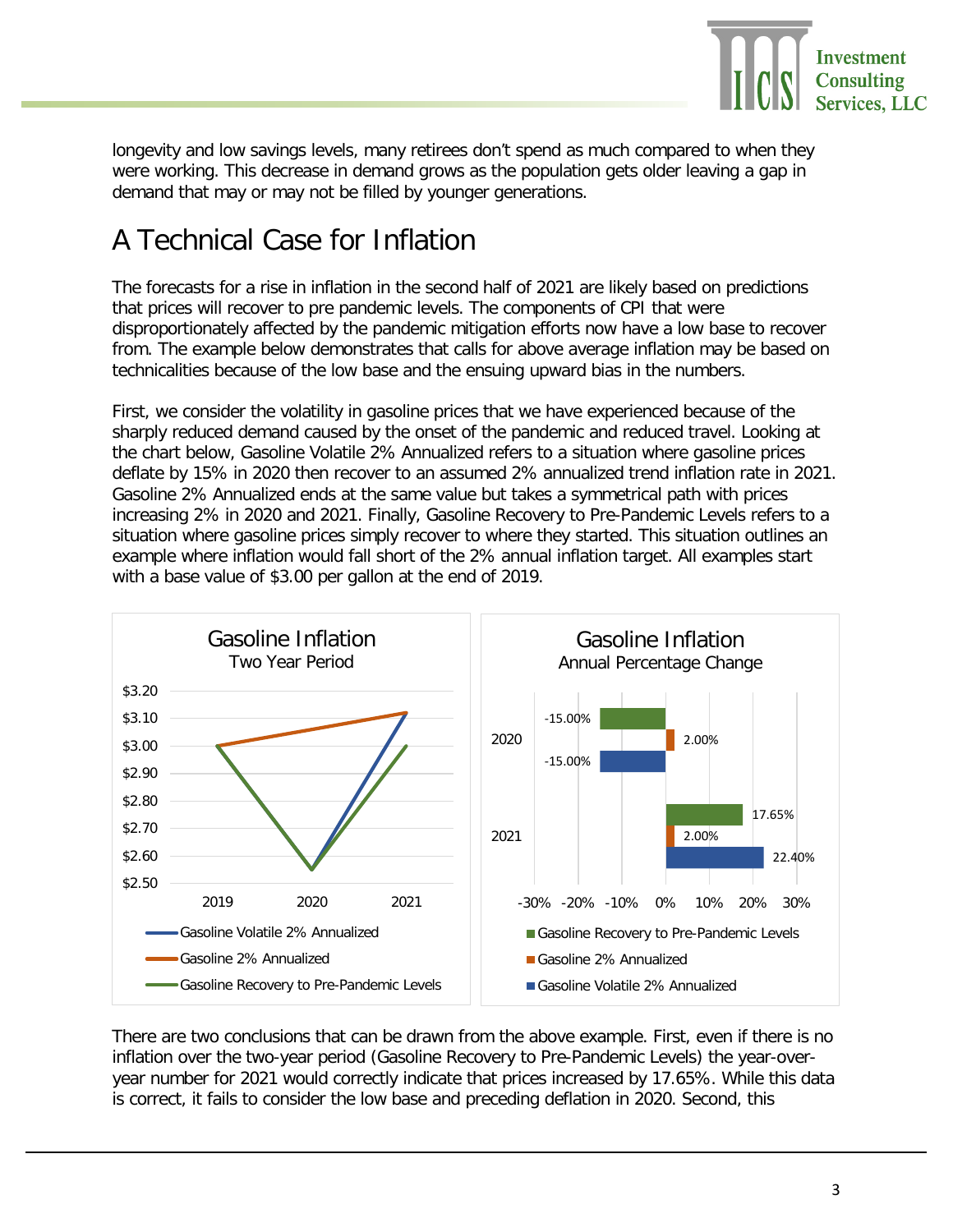

longevity and low savings levels, many retirees don't spend as much compared to when they were working. This decrease in demand grows as the population gets older leaving a gap in demand that may or may not be filled by younger generations.

### A Technical Case for Inflation

The forecasts for a rise in inflation in the second half of 2021 are likely based on predictions that prices will recover to pre pandemic levels. The components of CPI that were disproportionately affected by the pandemic mitigation efforts now have a low base to recover from. The example below demonstrates that calls for above average inflation may be based on technicalities because of the low base and the ensuing upward bias in the numbers.

First, we consider the volatility in gasoline prices that we have experienced because of the sharply reduced demand caused by the onset of the pandemic and reduced travel. Looking at the chart below, Gasoline Volatile 2% Annualized refers to a situation where gasoline prices deflate by 15% in 2020 then recover to an assumed 2% annualized trend inflation rate in 2021. Gasoline 2% Annualized ends at the same value but takes a symmetrical path with prices increasing 2% in 2020 and 2021. Finally, Gasoline Recovery to Pre-Pandemic Levels refers to a situation where gasoline prices simply recover to where they started. This situation outlines an example where inflation would fall short of the 2% annual inflation target. All examples start with a base value of \$3.00 per gallon at the end of 2019.



There are two conclusions that can be drawn from the above example. First, even if there is no inflation over the two-year period (Gasoline Recovery to Pre-Pandemic Levels) the year-overyear number for 2021 would correctly indicate that prices increased by 17.65%. While this data is correct, it fails to consider the low base and preceding deflation in 2020. Second, this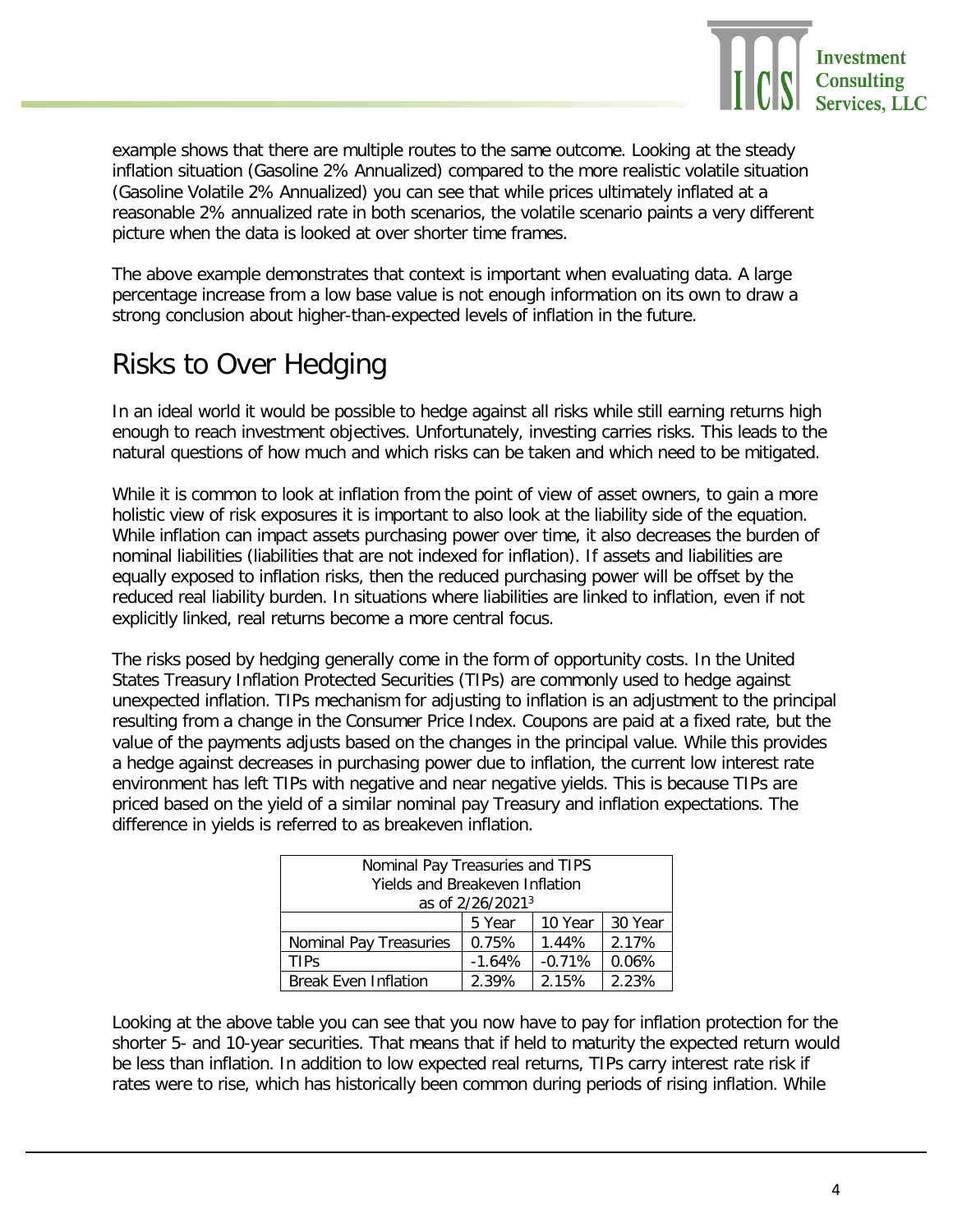

example shows that there are multiple routes to the same outcome. Looking at the steady inflation situation (Gasoline 2% Annualized) compared to the more realistic volatile situation (Gasoline Volatile 2% Annualized) you can see that while prices ultimately inflated at a reasonable 2% annualized rate in both scenarios, the volatile scenario paints a very different picture when the data is looked at over shorter time frames.

The above example demonstrates that context is important when evaluating data. A large percentage increase from a low base value is not enough information on its own to draw a strong conclusion about higher-than-expected levels of inflation in the future.

### Risks to Over Hedging

In an ideal world it would be possible to hedge against all risks while still earning returns high enough to reach investment objectives. Unfortunately, investing carries risks. This leads to the natural questions of how much and which risks can be taken and which need to be mitigated.

While it is common to look at inflation from the point of view of asset owners, to gain a more holistic view of risk exposures it is important to also look at the liability side of the equation. While inflation can impact assets purchasing power over time, it also decreases the burden of nominal liabilities (liabilities that are not indexed for inflation). If assets and liabilities are equally exposed to inflation risks, then the reduced purchasing power will be offset by the reduced real liability burden. In situations where liabilities are linked to inflation, even if not explicitly linked, real returns become a more central focus.

The risks posed by hedging generally come in the form of opportunity costs. In the United States Treasury Inflation Protected Securities (TIPs) are commonly used to hedge against unexpected inflation. TIPs mechanism for adjusting to inflation is an adjustment to the principal resulting from a change in the Consumer Price Index. Coupons are paid at a fixed rate, but the value of the payments adjusts based on the changes in the principal value. While this provides a hedge against decreases in purchasing power due to inflation, the current low interest rate environment has left TIPs with negative and near negative yields. This is because TIPs are priced based on the yield of a similar nominal pay Treasury and inflation expectations. The difference in yields is referred to as breakeven inflation.

| Nominal Pay Treasuries and TIPS |          |          |         |
|---------------------------------|----------|----------|---------|
| Yields and Breakeven Inflation  |          |          |         |
| as of 2/26/2021 <sup>3</sup>    |          |          |         |
|                                 | 5 Year   | 10 Year  | 30 Year |
| Nominal Pay Treasuries          | 0.75%    | 1.44%    | 2.17%   |
| TIPs                            | $-1.64%$ | $-0.71%$ | 0.06%   |
| <b>Break Even Inflation</b>     | 2.39%    | 2.15%    | 2.23%   |

Looking at the above table you can see that you now have to pay for inflation protection for the shorter 5- and 10-year securities. That means that if held to maturity the expected return would be less than inflation. In addition to low expected real returns, TIPs carry interest rate risk if rates were to rise, which has historically been common during periods of rising inflation. While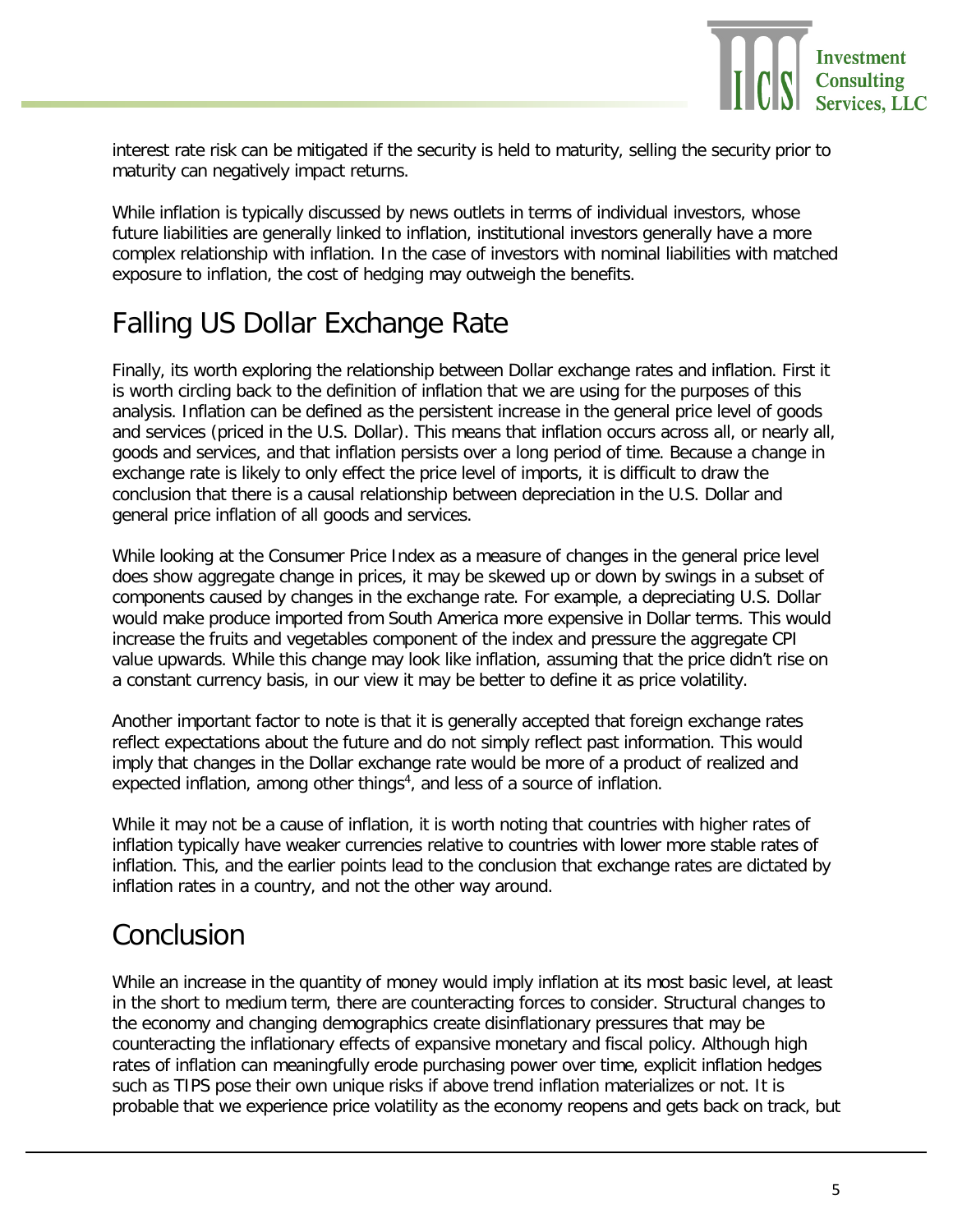

interest rate risk can be mitigated if the security is held to maturity, selling the security prior to maturity can negatively impact returns.

While inflation is typically discussed by news outlets in terms of individual investors, whose future liabilities are generally linked to inflation, institutional investors generally have a more complex relationship with inflation. In the case of investors with nominal liabilities with matched exposure to inflation, the cost of hedging may outweigh the benefits.

#### Falling US Dollar Exchange Rate

Finally, its worth exploring the relationship between Dollar exchange rates and inflation. First it is worth circling back to the definition of inflation that we are using for the purposes of this analysis. Inflation can be defined as the persistent increase in the general price level of goods and services (priced in the U.S. Dollar). This means that inflation occurs across all, or nearly all, goods and services, and that inflation persists over a long period of time. Because a change in exchange rate is likely to only effect the price level of imports, it is difficult to draw the conclusion that there is a causal relationship between depreciation in the U.S. Dollar and general price inflation of all goods and services.

While looking at the Consumer Price Index as a measure of changes in the general price level does show aggregate change in prices, it may be skewed up or down by swings in a subset of components caused by changes in the exchange rate. For example, a depreciating U.S. Dollar would make produce imported from South America more expensive in Dollar terms. This would increase the fruits and vegetables component of the index and pressure the aggregate CPI value upwards. While this change may look like inflation, assuming that the price didn't rise on a constant currency basis, in our view it may be better to define it as price volatility.

Another important factor to note is that it is generally accepted that foreign exchange rates reflect expectations about the future and do not simply reflect past information. This would imply that changes in the Dollar exchange rate would be more of a product of realized and expected inflation, among other things<sup>4</sup>, and less of a source of inflation.

While it may not be a cause of inflation, it is worth noting that countries with higher rates of inflation typically have weaker currencies relative to countries with lower more stable rates of inflation. This, and the earlier points lead to the conclusion that exchange rates are dictated by inflation rates in a country, and not the other way around.

#### Conclusion

While an increase in the quantity of money would imply inflation at its most basic level, at least in the short to medium term, there are counteracting forces to consider. Structural changes to the economy and changing demographics create disinflationary pressures that may be counteracting the inflationary effects of expansive monetary and fiscal policy. Although high rates of inflation can meaningfully erode purchasing power over time, explicit inflation hedges such as TIPS pose their own unique risks if above trend inflation materializes or not. It is probable that we experience price volatility as the economy reopens and gets back on track, but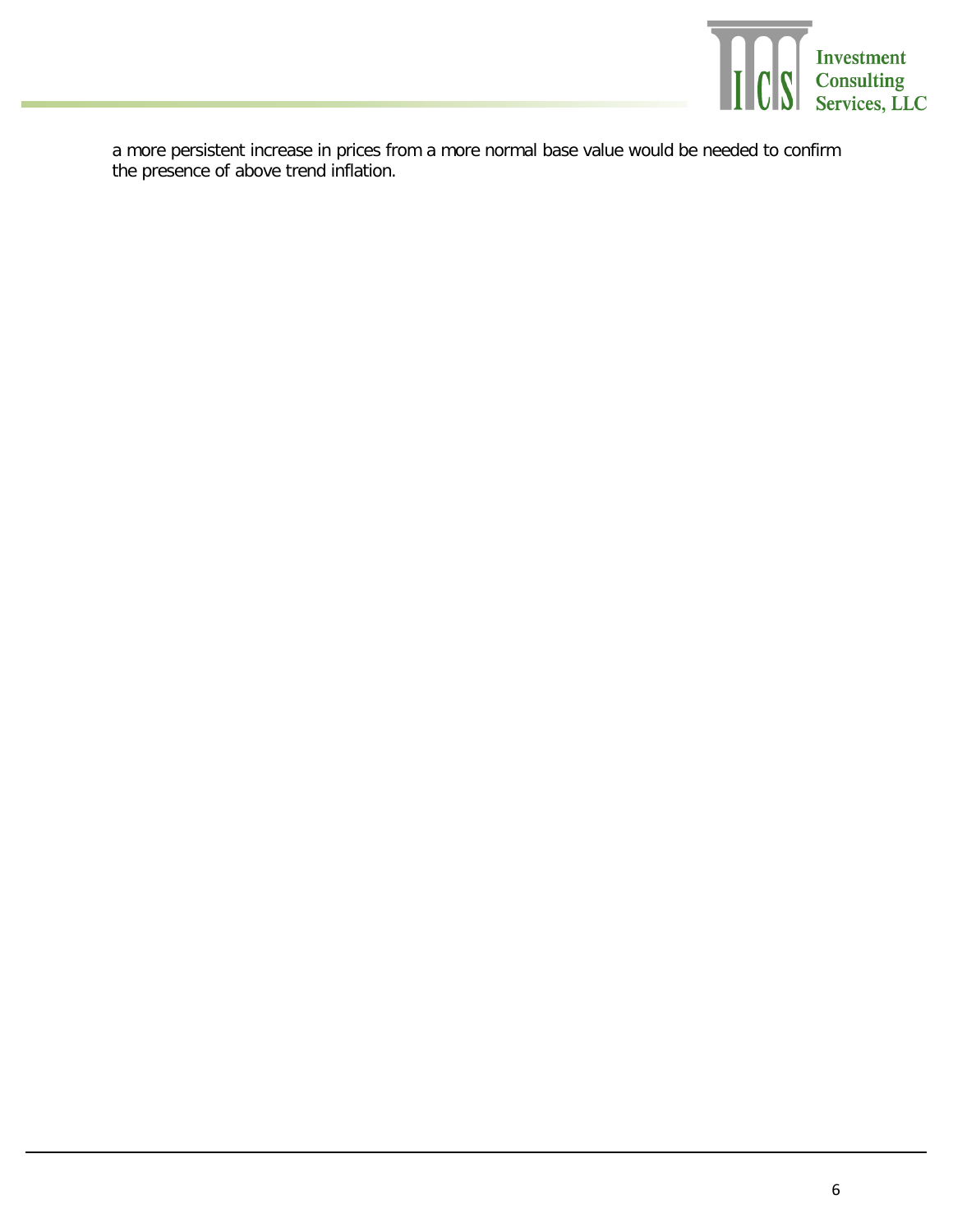

a more persistent increase in prices from a more normal base value would be needed to confirm the presence of above trend inflation.